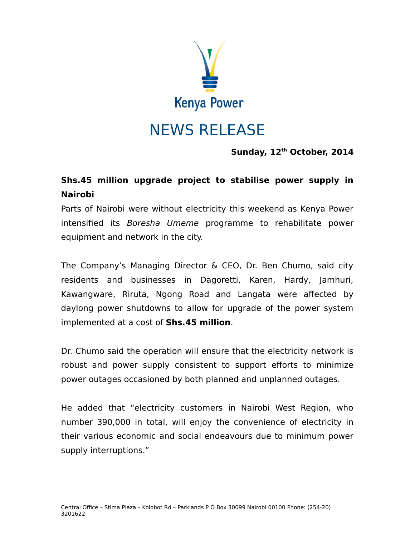

**Sunday, 12th October, 2014**

## **Shs.45 million upgrade project to stabilise power supply in Nairobi**

Parts of Nairobi were without electricity this weekend as Kenya Power intensified its Boresha Umeme programme to rehabilitate power equipment and network in the city.

The Company's Managing Director & CEO, Dr. Ben Chumo, said city residents and businesses in Dagoretti, Karen, Hardy, Jamhuri, Kawangware, Riruta, Ngong Road and Langata were affected by daylong power shutdowns to allow for upgrade of the power system implemented at a cost of **Shs.45 million**.

Dr. Chumo said the operation will ensure that the electricity network is robust and power supply consistent to support efforts to minimize power outages occasioned by both planned and unplanned outages.

He added that "electricity customers in Nairobi West Region, who number 390,000 in total, will enjoy the convenience of electricity in their various economic and social endeavours due to minimum power supply interruptions."